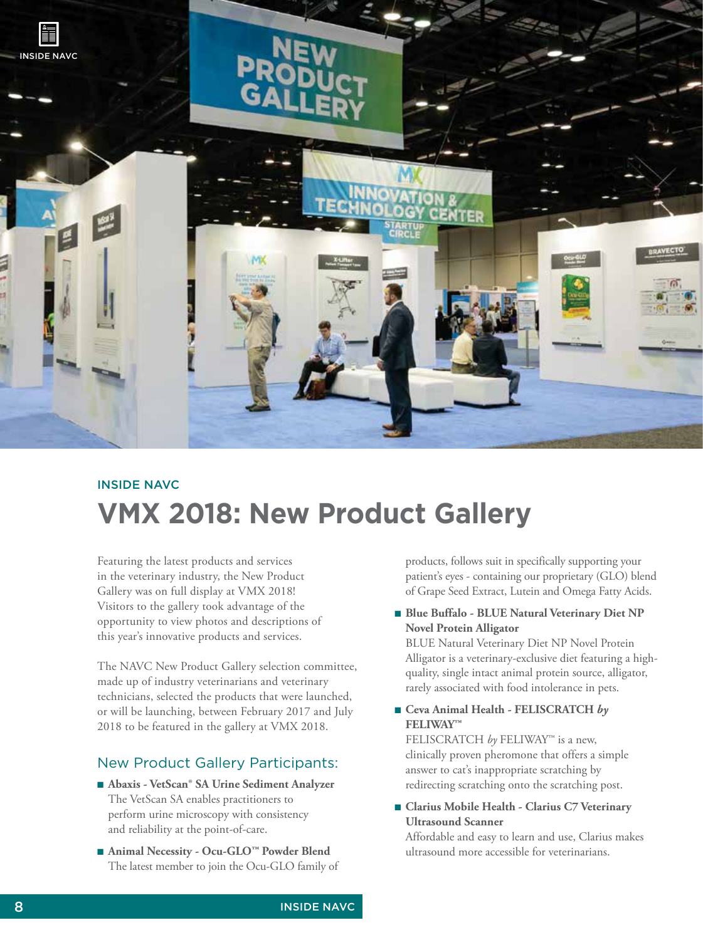

# **VMX 2018: New Product Gallery** INSIDE NAVC

Featuring the latest products and services in the veterinary industry, the New Product Gallery was on full display at VMX 2018! Visitors to the gallery took advantage of the opportunity to view photos and descriptions of this year's innovative products and services.

The NAVC New Product Gallery selection committee, made up of industry veterinarians and veterinary technicians, selected the products that were launched, or will be launching, between February 2017 and July 2018 to be featured in the gallery at VMX 2018.

# New Product Gallery Participants:

- **Abaxis VetScan<sup>®</sup> SA Urine Sediment Analyzer** The VetScan SA enables practitioners to perform urine microscopy with consistency and reliability at the point-of-care.
- Animal Necessity Ocu-GLO<sup>™</sup> Powder Blend The latest member to join the Ocu-GLO family of

products, follows suit in specifically supporting your patient's eyes - containing our proprietary (GLO) blend of Grape Seed Extract, Lutein and Omega Fatty Acids.

■■ **Blue Buffalo - BLUE Natural Veterinary Diet NP Novel Protein Alligator**

BLUE Natural Veterinary Diet NP Novel Protein Alligator is a veterinary-exclusive diet featuring a highquality, single intact animal protein source, alligator, rarely associated with food intolerance in pets.

■■ **Ceva Animal Health - FELISCRATCH** *by* **FELIWAY™** 

FELISCRATCH *by* FELIWAY™ is a new, clinically proven pheromone that offers a simple answer to cat's inappropriate scratching by redirecting scratching onto the scratching post.

■■ **Clarius Mobile Health - Clarius C7 Veterinary Ultrasound Scanner** 

Affordable and easy to learn and use, Clarius makes ultrasound more accessible for veterinarians.